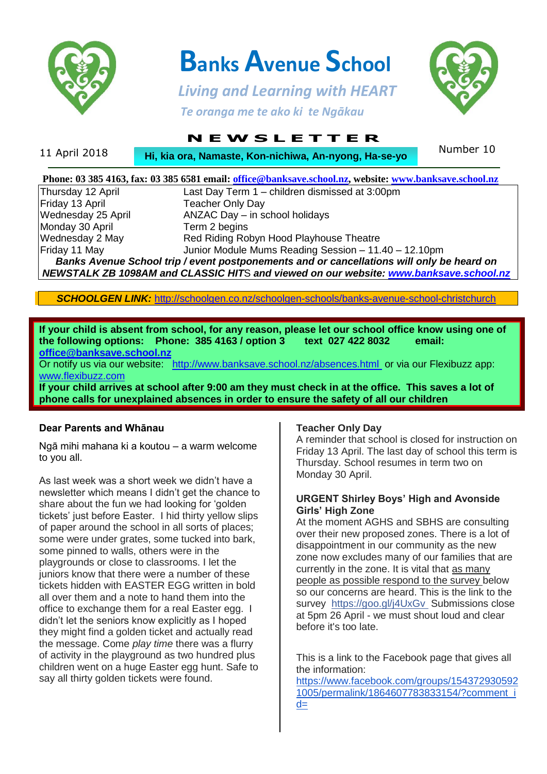

 **Banks Avenue School**

 *Living and Learning with HEART Te oranga me te ako ki te Ngākau*



# **N E W S L E T T E R**

| 11 April 2018 | <b>Hi, kia ora, Namaste, Kon-nichiwa, An-nyong, Ha-se-yo</b> | Number 10 |
|---------------|--------------------------------------------------------------|-----------|
|               |                                                              |           |

|                                                                                           | Phone: 03 385 4163, fax: 03 385 6581 email: office@banksave.school.nz, website: www.banksave.school.nz |  |  |  |
|-------------------------------------------------------------------------------------------|--------------------------------------------------------------------------------------------------------|--|--|--|
| Thursday 12 April                                                                         | Last Day Term 1 – children dismissed at 3:00pm                                                         |  |  |  |
| Friday 13 April                                                                           | <b>Teacher Only Day</b>                                                                                |  |  |  |
| Wednesday 25 April                                                                        | ANZAC Day - in school holidays                                                                         |  |  |  |
| Monday 30 April                                                                           | Term 2 begins                                                                                          |  |  |  |
| Wednesday 2 May                                                                           | Red Riding Robyn Hood Playhouse Theatre                                                                |  |  |  |
| Friday 11 May                                                                             | Junior Module Mums Reading Session - 11.40 - 12.10pm                                                   |  |  |  |
| Banks Avenue School trip / event postponements and or cancellations will only be heard on |                                                                                                        |  |  |  |
| NEWSTALK ZB 1098AM and CLASSIC HITS and viewed on our website: www.banksave.school.nz     |                                                                                                        |  |  |  |

*SCHOOLGEN LINK:* <http://schoolgen.co.nz/schoolgen-schools/banks-avenue-school-christchurch>

**If your child is absent from school, for any reason, please let our school office know using one of the following options: Phone: 385 4163 / option 3 text 027 422 8032 email: [office@banksave.school.nz](mailto:office@banksave.school.nz)**

Or notify us via our website: <http://www.banksave.school.nz/absences.html> or via our Flexibuzz app: [www.flexibuzz.com](http://www.flexibuzz.com/)

**If your child arrives at school after 9:00 am they must check in at the office. This saves a lot of phone calls for unexplained absences in order to ensure the safety of all our children**

### **Dear Parents and Whānau**

Ngā mihi mahana ki a koutou – a warm welcome to you all.

As last week was a short week we didn't have a newsletter which means I didn't get the chance to share about the fun we had looking for 'golden tickets' just before Easter. I hid thirty yellow slips of paper around the school in all sorts of places; some were under grates, some tucked into bark, some pinned to walls, others were in the playgrounds or close to classrooms. I let the juniors know that there were a number of these tickets hidden with EASTER EGG written in bold all over them and a note to hand them into the office to exchange them for a real Easter egg. I didn't let the seniors know explicitly as I hoped they might find a golden ticket and actually read the message. Come *play time* there was a flurry of activity in the playground as two hundred plus children went on a huge Easter egg hunt. Safe to say all thirty golden tickets were found.

#### **Teacher Only Day**

A reminder that school is closed for instruction on Friday 13 April. The last day of school this term is Thursday. School resumes in term two on Monday 30 April.

#### **URGENT Shirley Boys' High and Avonside Girls' High Zone**

At the moment AGHS and SBHS are consulting over their new proposed zones. There is a lot of disappointment in our community as the new zone now excludes many of our families that are currently in the zone. It is vital that as many people as possible respond to the survey below so our concerns are heard. This is the link to the survey <https://goo.gl/j4UxGv>Submissions close at 5pm 26 April - we must shout loud and clear before it's too late.

This is a link to the Facebook page that gives all the information:

[https://www.facebook.com/groups/154372930592](https://www.facebook.com/groups/1543729305921005/permalink/1864607783833154/?comment_id=1865479610412638¬if_id=1522893708552369¬if_t=group_comment_reply&ref=notif) [1005/permalink/1864607783833154/?comment\\_i](https://www.facebook.com/groups/1543729305921005/permalink/1864607783833154/?comment_id=1865479610412638¬if_id=1522893708552369¬if_t=group_comment_reply&ref=notif)  $d=$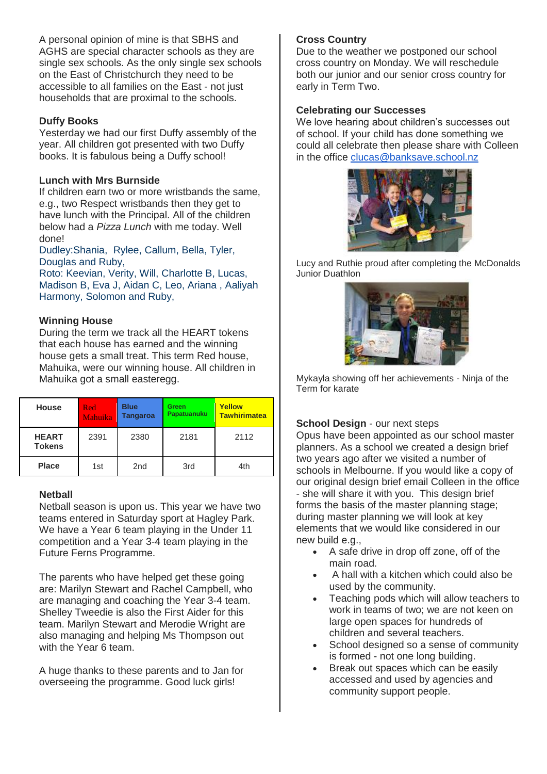A personal opinion of mine is that SBHS and AGHS are special character schools as they are single sex schools. As the only single sex schools on the East of Christchurch they need to be accessible to all families on the East - not just households that are proximal to the schools.

### **Duffy Books**

Yesterday we had our first Duffy assembly of the year. All children got presented with two Duffy books. It is fabulous being a Duffy school!

### **Lunch with Mrs Burnside**

If children earn two or more wristbands the same, e.g., two Respect wristbands then they get to have lunch with the Principal. All of the children below had a *Pizza Lunch* with me today. Well done!

Dudley:Shania, Rylee, Callum, Bella, Tyler, Douglas and Ruby,

Roto: Keevian, Verity, Will, Charlotte B, Lucas, Madison B, Eva J, Aidan C, Leo, Ariana , Aaliyah Harmony, Solomon and Ruby,

### **Winning House**

During the term we track all the HEART tokens that each house has earned and the winning house gets a small treat. This term Red house, Mahuika, were our winning house. All children in Mahuika got a small easteregg.

| <b>House</b>                  | Red<br><b>Mahuika</b> | <b>Blue</b><br><b>Tangaroa</b> | <b>Green</b><br>Papatuanuku | <b>Yellow</b><br><b>Tawhirimatea</b> |
|-------------------------------|-----------------------|--------------------------------|-----------------------------|--------------------------------------|
| <b>HEART</b><br><b>Tokens</b> | 2391                  | 2380                           | 2181                        | 2112                                 |
| <b>Place</b>                  | 1st                   | 2 <sub>nd</sub>                | 3rd                         | 4th                                  |

### **Netball**

Netball season is upon us. This year we have two teams entered in Saturday sport at Hagley Park. We have a Year 6 team playing in the Under 11 competition and a Year 3-4 team playing in the Future Ferns Programme.

The parents who have helped get these going are: Marilyn Stewart and Rachel Campbell, who are managing and coaching the Year 3-4 team. Shelley Tweedie is also the First Aider for this team. Marilyn Stewart and Merodie Wright are also managing and helping Ms Thompson out with the Year 6 team.

A huge thanks to these parents and to Jan for overseeing the programme. Good luck girls!

### **Cross Country**

Due to the weather we postponed our school cross country on Monday. We will reschedule both our junior and our senior cross country for early in Term Two.

### **Celebrating our Successes**

We love hearing about children's successes out of school. If your child has done something we could all celebrate then please share with Colleen in the office [clucas@banksave.school.nz](mailto:clucas@banksave.school.nz)



Lucy and Ruthie proud after completing the McDonalds Junior Duathlon



Mykayla showing off her achievements - Ninja of the Term for karate

### **School Design** - our next steps

Opus have been appointed as our school master planners. As a school we created a design brief two years ago after we visited a number of schools in Melbourne. If you would like a copy of our original design brief email Colleen in the office - she will share it with you. This design brief forms the basis of the master planning stage; during master planning we will look at key elements that we would like considered in our new build e.g.,

- A safe drive in drop off zone, off of the main road.
- A hall with a kitchen which could also be used by the community.
- Teaching pods which will allow teachers to work in teams of two; we are not keen on large open spaces for hundreds of children and several teachers.
- School designed so a sense of community is formed - not one long building.
- Break out spaces which can be easily accessed and used by agencies and community support people.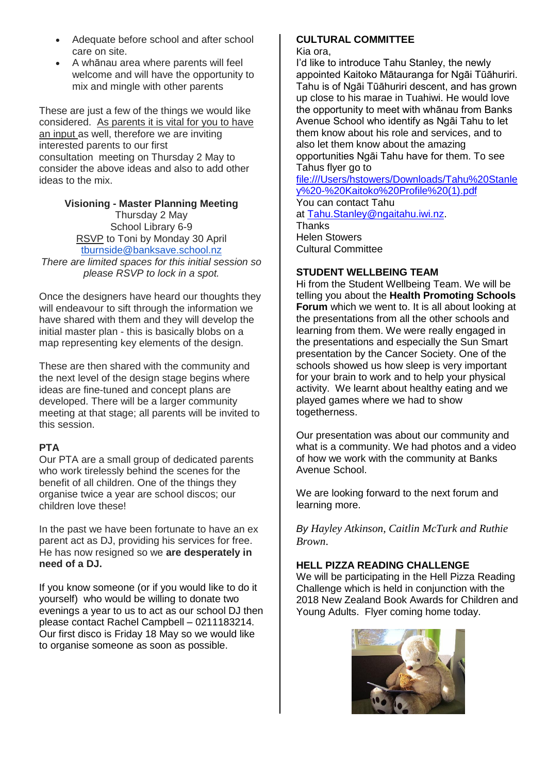- Adequate before school and after school care on site.
- A whānau area where parents will feel welcome and will have the opportunity to mix and mingle with other parents

These are just a few of the things we would like considered. As parents it is vital for you to have an input as well, therefore we are inviting interested parents to our first consultation meeting on Thursday 2 May to consider the above ideas and also to add other ideas to the mix.

### **Visioning - Master Planning Meeting**

Thursday 2 May School Library 6-9 RSVP to Toni by Monday 30 April [tburnside@banksave.school.nz](mailto:tburnside@banksave.school.nz)

*There are limited spaces for this initial session so please RSVP to lock in a spot.*

Once the designers have heard our thoughts they will endeavour to sift through the information we have shared with them and they will develop the initial master plan - this is basically blobs on a map representing key elements of the design.

These are then shared with the community and the next level of the design stage begins where ideas are fine-tuned and concept plans are developed. There will be a larger community meeting at that stage; all parents will be invited to this session.

## **PTA**

Our PTA are a small group of dedicated parents who work tirelessly behind the scenes for the benefit of all children. One of the things they organise twice a year are school discos; our children love these!

In the past we have been fortunate to have an ex parent act as DJ, providing his services for free. He has now resigned so we **are desperately in need of a DJ.**

If you know someone (or if you would like to do it yourself) who would be willing to donate two evenings a year to us to act as our school DJ then please contact Rachel Campbell – 0211183214. Our first disco is Friday 18 May so we would like to organise someone as soon as possible.

# **CULTURAL COMMITTEE**

Kia ora,

I'd like to introduce Tahu Stanley, the newly appointed Kaitoko Mātauranga for Ngāi Tūāhuriri. Tahu is of Ngāi Tūāhuriri descent, and has grown up close to his marae in Tuahiwi. He would love the opportunity to meet with whānau from Banks Avenue School who identify as Ngāi Tahu to let them know about his role and services, and to also let them know about the amazing opportunities Ngāi Tahu have for them. To see Tahus flyer go to

[file:///Users/hstowers/Downloads/Tahu%20Stanle](file://///Users/hstowers/Downloads/Tahu%20Stanley%20-%20Kaitoko%20Profile%20(1).pdf) [y%20-%20Kaitoko%20Profile%20\(1\).pdf](file://///Users/hstowers/Downloads/Tahu%20Stanley%20-%20Kaitoko%20Profile%20(1).pdf)

You can contact Tahu at [Tahu.Stanley@ngaitahu.iwi.nz.](mailto:Tahu.Stanley@ngaitahu.iwi.nz) **Thanks** Helen Stowers Cultural Committee

### **STUDENT WELLBEING TEAM**

Hi from the Student Wellbeing Team. We will be telling you about the **Health Promoting Schools Forum** which we went to. It is all about looking at the presentations from all the other schools and learning from them. We were really engaged in the presentations and especially the Sun Smart presentation by the Cancer Society. One of the schools showed us how sleep is very important for your brain to work and to help your physical activity. We learnt about healthy eating and we played games where we had to show togetherness.

Our presentation was about our community and what is a community. We had photos and a video of how we work with the community at Banks Avenue School.

We are looking forward to the next forum and learning more.

*By Hayley Atkinson, Caitlin McTurk and Ruthie Brown*.

### **HELL PIZZA READING CHALLENGE**

We will be participating in the Hell Pizza Reading Challenge which is held in conjunction with the 2018 New Zealand Book Awards for Children and Young Adults. Flyer coming home today.